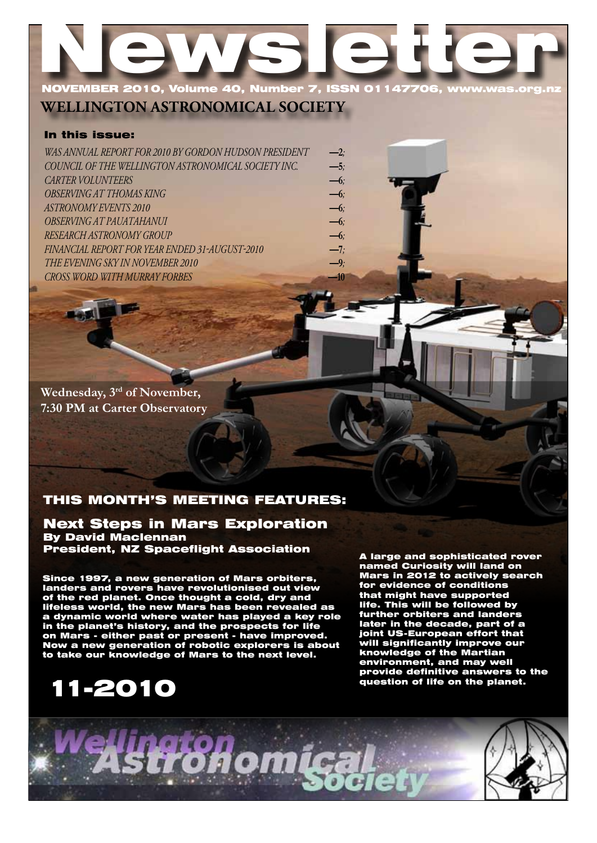# Newsletter NOVEMBER 2010, Volume 40, Number 7, ISSN 01147706

**WELLINGTON ASTRONOMICAL SOCIETY**

#### In this issue:

| WAS ANNUAL REPORT FOR 2010 BY GORDON HUDSON PRESIDENT | $-2$  |
|-------------------------------------------------------|-------|
| COUNCIL OF THE WELLINGTON ASTRONOMICAL SOCIETY INC.   | $-5$  |
| <b>CARTER VOLUNTEERS</b>                              | $-6$  |
| <b>OBSERVING AT THOMAS KING</b>                       | $-6$  |
| <b>ASTRONOMY EVENTS 2010</b>                          | $-6$  |
| OBSERVING AT PAUATAHANUI                              | $-6$  |
| RESEARCH ASTRONOMY GROUP                              | $-6$  |
| FINANCIAL REPORT FOR YEAR ENDED 31-AUGUST-2010        | $-7.$ |
| THE EVENING SKY IN NOVEMBER 2010                      | $-9;$ |
| <b>CROSS WORD WITH MURRAY FORBES</b>                  | $-10$ |

**Wednesday, 3rd of November, 7:30 PM at Carter Observatory**

## THIS MONTH'S MEETING FEATURES:

Next Steps in Mars Exploration By David Maclennan **President, NZ Spaceflight Association**<br>A large and sophisticated rover

Since 1997, a new generation of Mars orbiters, landers and rovers have revolutionised out view of the red planet. Once thought a cold, dry and lifeless world, the new Mars has been revealed as a dynamic world where water has played a key role in the planet's history, and the prospects for life on Mars - either past or present - have improved. Now a new generation of robotic explorers is about to take our knowledge of Mars to the next level.

## 11-2010

named Curiosity will land on Mars in 2012 to actively search for evidence of conditions that might have supported life. This will be followed by further orbiters and landers later in the decade, part of a joint US-European effort that will significantly improve our knowledge of the Martian environment, and may well provide definitive answers to the question of life on the planet.

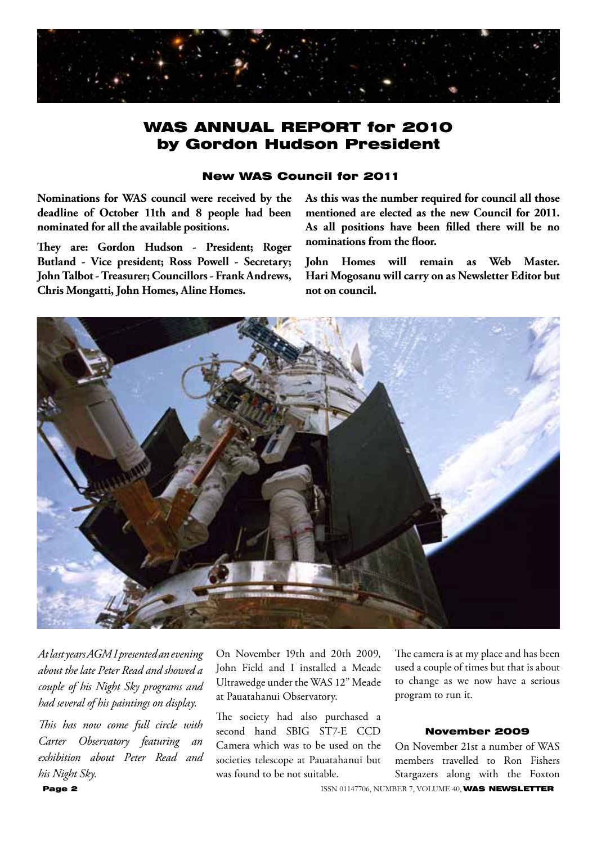

## WAS ANNUAL REPORT for 2010 by Gordon Hudson President

#### New WAS Council for 2011

**Nominations for WAS council were received by the deadline of October 11th and 8 people had been nominated for all the available positions.**

**They are: Gordon Hudson - President; Roger Butland - Vice president; Ross Powell - Secretary; John Talbot - Treasurer; Councillors - Frank Andrews, Chris Mongatti, John Homes, Aline Homes.**

**As this was the number required for council all those mentioned are elected as the new Council for 2011. As all positions have been filled there will be no nominations from the floor.**

**John Homes will remain as Web Master. Hari Mogosanu will carry on as Newsletter Editor but not on council.**



*At last years AGM I presented an evening about the late Peter Read and showed a couple of his Night Sky programs and had several of his paintings on display.*

*This has now come full circle with Carter Observatory featuring an exhibition about Peter Read and his Night Sky.* 

On November 19th and 20th 2009, John Field and I installed a Meade Ultrawedge under the WAS 12" Meade at Pauatahanui Observatory.

The society had also purchased a second hand SBIG ST7-E CCD Camera which was to be used on the societies telescope at Pauatahanui but was found to be not suitable.

The camera is at my place and has been used a couple of times but that is about to change as we now have a serious program to run it.

#### November 2009

On November 21st a number of WAS members travelled to Ron Fishers Stargazers along with the Foxton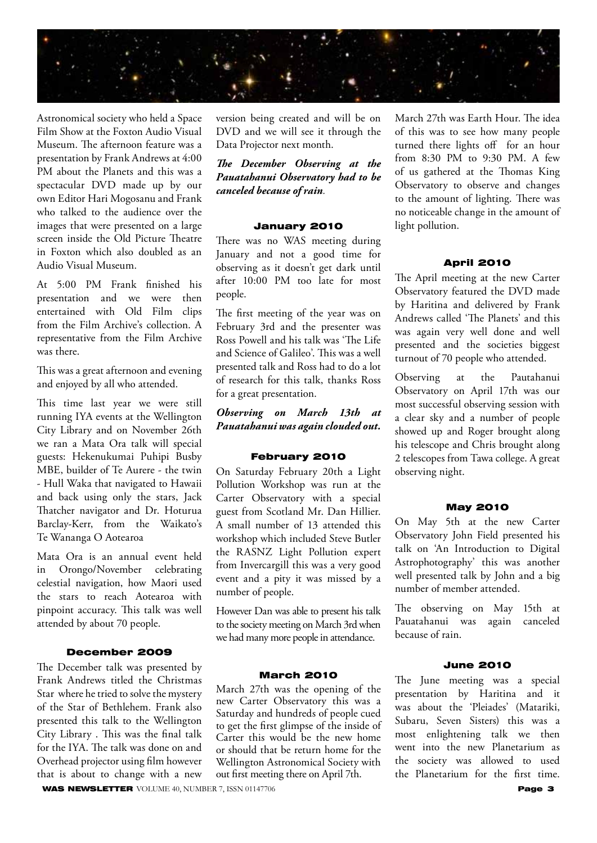

Astronomical society who held a Space Film Show at the Foxton Audio Visual Museum. The afternoon feature was a presentation by Frank Andrews at 4:00 PM about the Planets and this was a spectacular DVD made up by our own Editor Hari Mogosanu and Frank who talked to the audience over the images that were presented on a large screen inside the Old Picture Theatre in Foxton which also doubled as an Audio Visual Museum.

At 5:00 PM Frank finished his presentation and we were then entertained with Old Film clips from the Film Archive's collection. A representative from the Film Archive was there.

This was a great afternoon and evening and enjoyed by all who attended.

This time last year we were still running IYA events at the Wellington City Library and on November 26th we ran a Mata Ora talk will special guests: Hekenukumai Puhipi Busby MBE, builder of Te Aurere - the twin - Hull Waka that navigated to Hawaii and back using only the stars, Jack Thatcher navigator and Dr. Hoturua Barclay-Kerr, from the Waikato's Te Wananga O Aotearoa

Mata Ora is an annual event held in Orongo/November celebrating celestial navigation, how Maori used the stars to reach Aotearoa with pinpoint accuracy. This talk was well attended by about 70 people.

#### December 2009

The December talk was presented by Frank Andrews titled the Christmas Star where he tried to solve the mystery of the Star of Bethlehem. Frank also presented this talk to the Wellington City Library . This was the final talk for the IYA. The talk was done on and Overhead projector using film however that is about to change with a new

version being created and will be on DVD and we will see it through the Data Projector next month.

*The December Observing at the Pauatahanui Observatory had to be canceled because of rain.*

#### January 2010

There was no WAS meeting during January and not a good time for observing as it doesn't get dark until after 10:00 PM too late for most people.

The first meeting of the year was on February 3rd and the presenter was Ross Powell and his talk was 'The Life and Science of Galileo'. This was a well presented talk and Ross had to do a lot of research for this talk, thanks Ross for a great presentation.

*Observing on March 13th at Pauatahanui was again clouded out.*

#### February 2010

On Saturday February 20th a Light Pollution Workshop was run at the Carter Observatory with a special guest from Scotland Mr. Dan Hillier. A small number of 13 attended this workshop which included Steve Butler the RASNZ Light Pollution expert from Invercargill this was a very good event and a pity it was missed by a number of people.

However Dan was able to present his talk to the society meeting on March 3rd when we had many more people in attendance.

#### March 2010

WAS NEWSLETTER VOLUME 40, NUMBER 7, ISSN 01147706 Page 3 March 27th was the opening of the new Carter Observatory this was a Saturday and hundreds of people cued to get the first glimpse of the inside of Carter this would be the new home or should that be return home for the Wellington Astronomical Society with out first meeting there on April 7th.

March 27th was Earth Hour. The idea of this was to see how many people turned there lights off for an hour from 8:30 PM to 9:30 PM. A few of us gathered at the Thomas King Observatory to observe and changes to the amount of lighting. There was no noticeable change in the amount of light pollution.

#### April 2010

The April meeting at the new Carter Observatory featured the DVD made by Haritina and delivered by Frank Andrews called 'The Planets' and this was again very well done and well presented and the societies biggest turnout of 70 people who attended.

Observing at the Pautahanui Observatory on April 17th was our most successful observing session with a clear sky and a number of people showed up and Roger brought along his telescope and Chris brought along 2 telescopes from Tawa college. A great observing night.

#### May 2010

On May 5th at the new Carter Observatory John Field presented his talk on 'An Introduction to Digital Astrophotography' this was another well presented talk by John and a big number of member attended.

The observing on May 15th at Pauatahanui was again canceled because of rain.

#### June 2010

The June meeting was a special presentation by Haritina and it was about the 'Pleiades' (Matariki, Subaru, Seven Sisters) this was a most enlightening talk we then went into the new Planetarium as the society was allowed to used the Planetarium for the first time.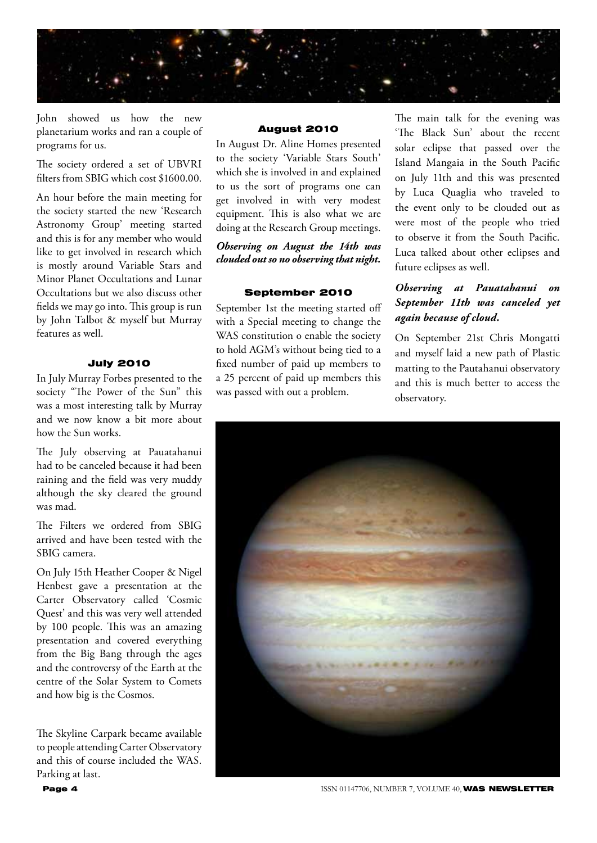

John showed us how the new planetarium works and ran a couple of programs for us.

The society ordered a set of UBVRI filters from SBIG which cost \$1600.00.

An hour before the main meeting for the society started the new 'Research Astronomy Group' meeting started and this is for any member who would like to get involved in research which is mostly around Variable Stars and Minor Planet Occultations and Lunar Occultations but we also discuss other fields we may go into. This group is run by John Talbot & myself but Murray features as well.

#### July 2010

In July Murray Forbes presented to the society "The Power of the Sun" this was a most interesting talk by Murray and we now know a bit more about how the Sun works.

The July observing at Pauatahanui had to be canceled because it had been raining and the field was very muddy although the sky cleared the ground was mad.

The Filters we ordered from SBIG arrived and have been tested with the SBIG camera.

On July 15th Heather Cooper & Nigel Henbest gave a presentation at the Carter Observatory called 'Cosmic Quest' and this was very well attended by 100 people. This was an amazing presentation and covered everything from the Big Bang through the ages and the controversy of the Earth at the centre of the Solar System to Comets and how big is the Cosmos.

The Skyline Carpark became available to people attending Carter Observatory and this of course included the WAS. Parking at last.

#### August 2010

In August Dr. Aline Homes presented to the society 'Variable Stars South' which she is involved in and explained to us the sort of programs one can get involved in with very modest equipment. This is also what we are doing at the Research Group meetings.

*Observing on August the 14th was clouded out so no observing that night.*

#### September 2010

September 1st the meeting started off with a Special meeting to change the WAS constitution o enable the society to hold AGM's without being tied to a fixed number of paid up members to a 25 percent of paid up members this was passed with out a problem.

The main talk for the evening was 'The Black Sun' about the recent solar eclipse that passed over the Island Mangaia in the South Pacific on July 11th and this was presented by Luca Quaglia who traveled to the event only to be clouded out as were most of the people who tried to observe it from the South Pacific. Luca talked about other eclipses and future eclipses as well.

#### *Observing at Pauatahanui on September 11th was canceled yet again because of cloud.*

On September 21st Chris Mongatti and myself laid a new path of Plastic matting to the Pautahanui observatory and this is much better to access the observatory.



**Page 4 ISSN 01147706, NUMBER 7, VOLUME 40, WAS NEWSLETTER**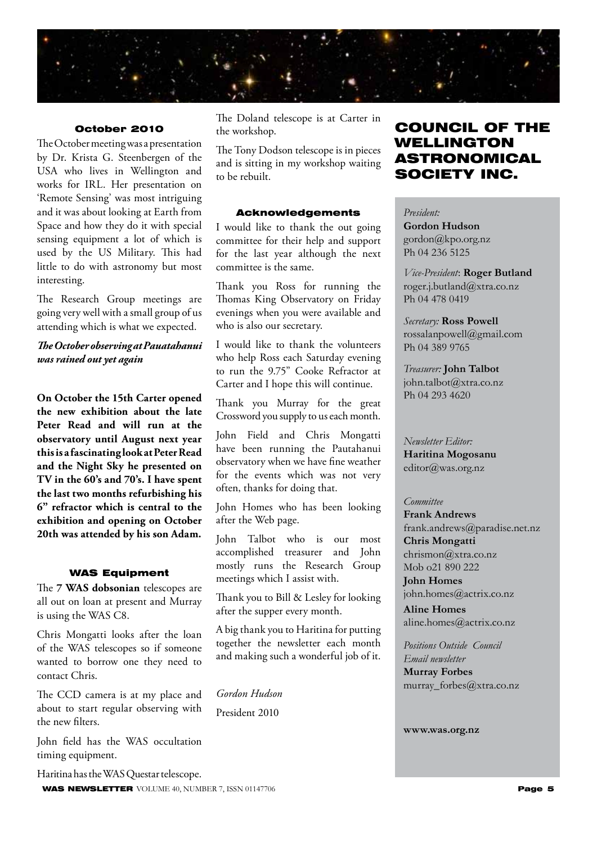

#### October 2010

The October meeting was a presentation by Dr. Krista G. Steenbergen of the USA who lives in Wellington and works for IRL. Her presentation on 'Remote Sensing' was most intriguing and it was about looking at Earth from Space and how they do it with special sensing equipment a lot of which is used by the US Military. This had little to do with astronomy but most interesting.

The Research Group meetings are going very well with a small group of us attending which is what we expected.

#### *The October observing at Pauatahanui was rained out yet again*

**On October the 15th Carter opened the new exhibition about the late Peter Read and will run at the observatory until August next year this is a fascinating look at Peter Read and the Night Sky he presented on TV in the 60's and 70's. I have spent the last two months refurbishing his 6" refractor which is central to the exhibition and opening on October 20th was attended by his son Adam.**

#### WAS Equipment

The **7 WAS dobsonian** telescopes are all out on loan at present and Murray is using the WAS C8.

Chris Mongatti looks after the loan of the WAS telescopes so if someone wanted to borrow one they need to contact Chris.

The CCD camera is at my place and about to start regular observing with the new filters.

John field has the WAS occultation timing equipment.

WAS NEWSLETTER VOLUME 40, NUMBER 7, ISSN 01147706 **Page 5** Haritina has the WAS Questar telescope.

The Doland telescope is at Carter in the workshop.

The Tony Dodson telescope is in pieces and is sitting in my workshop waiting to be rebuilt.

#### Acknowledgements

I would like to thank the out going committee for their help and support for the last year although the next committee is the same.

Thank you Ross for running the Thomas King Observatory on Friday evenings when you were available and who is also our secretary.

I would like to thank the volunteers who help Ross each Saturday evening to run the 9.75" Cooke Refractor at Carter and I hope this will continue.

Thank you Murray for the great Crossword you supply to us each month.

John Field and Chris Mongatti have been running the Pautahanui observatory when we have fine weather for the events which was not very often, thanks for doing that.

John Homes who has been looking after the Web page.

John Talbot who is our most accomplished treasurer and John mostly runs the Research Group meetings which I assist with.

Thank you to Bill & Lesley for looking after the supper every month.

A big thank you to Haritina for putting together the newsletter each month and making such a wonderful job of it.

*Gordon Hudson* President 2010

## COUNCIL OF THE WELLINGTON ASTRONOMICAL SOCIETY INC.

*President:*  **Gordon Hudson**

gordon@kpo.org.nz Ph 04 236 5125

*Vice-President*: **Roger Butland** roger.j.butland@xtra.co.nz Ph 04 478 0419

*Secretary:* **Ross Powell** rossalanpowell@gmail.com Ph 04 389 9765

*Treasurer:* **John Talbot** john.talbot@xtra.co.nz Ph 04 293 4620

*Newsletter Editor:*  **Haritina Mogosanu** editor@was.org.nz

#### *Committee*

**Frank Andrews** frank.andrews@paradise.net.nz **Chris Mongatti** chrismon@xtra.co.nz Mob o21 890 222

**John Homes** john.homes@actrix.co.nz

**Aline Homes** aline.homes@actrix.co.nz

*Positions Outside Council Email newsletter* **Murray Forbes** murray\_forbes@xtra.co.nz

**www.was.org.nz**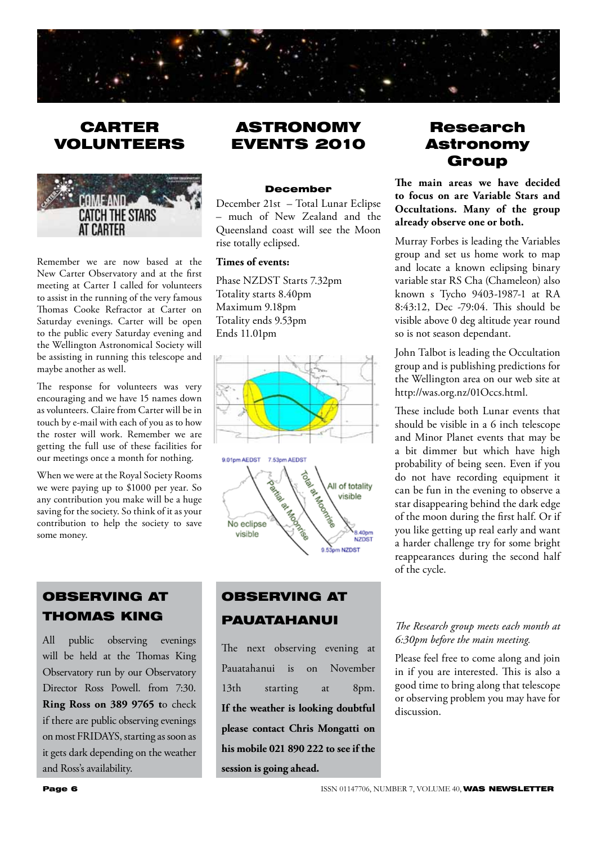

## CARTER VOLUNTEERS



Remember we are now based at the New Carter Observatory and at the first meeting at Carter I called for volunteers to assist in the running of the very famous Thomas Cooke Refractor at Carter on Saturday evenings. Carter will be open to the public every Saturday evening and the Wellington Astronomical Society will be assisting in running this telescope and maybe another as well.

The response for volunteers was very encouraging and we have 15 names down as volunteers. Claire from Carter will be in touch by e-mail with each of you as to how the roster will work. Remember we are getting the full use of these facilities for our meetings once a month for nothing.

When we were at the Royal Society Rooms we were paying up to \$1000 per year. So any contribution you make will be a huge saving for the society. So think of it as your contribution to help the society to save some money.

## OBSERVING AT THOMAS KING

All public observing evenings will be held at the Thomas King Observatory run by our Observatory Director Ross Powell. from 7:30. **Ring Ross on 389 9765 t**o check if there are public observing evenings on most FRIDAYS, starting as soon as it gets dark depending on the weather and Ross's availability.

## ASTRONOMY EVENTS 2010

#### December

December 21st – Total Lunar Eclipse – much of New Zealand and the Queensland coast will see the Moon rise totally eclipsed.

#### **Times of events:**

Phase NZDST Starts 7.32pm Totality starts 8.40pm Maximum 9.18pm Totality ends 9.53pm Ends 11.01pm



## OBSERVING AT **PAUATAHANUI**

The next observing evening at Pauatahanui is on November 13th starting at 8pm. **If the weather is looking doubtful please contact Chris Mongatti on his mobile 021 890 222 to see if the session is going ahead.**

## Research Astronomy Group

**The main areas we have decided to focus on are Variable Stars and Occultations. Many of the group already observe one or both.**

Murray Forbes is leading the Variables group and set us home work to map and locate a known eclipsing binary variable star RS Cha (Chameleon) also known s Tycho 9403-1987-1 at RA 8:43:12, Dec -79:04. This should be visible above 0 deg altitude year round so is not season dependant.

John Talbot is leading the Occultation group and is publishing predictions for the Wellington area on our web site at http://was.org.nz/01Occs.html.

These include both Lunar events that should be visible in a 6 inch telescope and Minor Planet events that may be a bit dimmer but which have high probability of being seen. Even if you do not have recording equipment it can be fun in the evening to observe a star disappearing behind the dark edge of the moon during the first half. Or if you like getting up real early and want a harder challenge try for some bright reappearances during the second half of the cycle.

#### *The Research group meets each month at 6:30pm before the main meeting.*

Please feel free to come along and join in if you are interested. This is also a good time to bring along that telescope or observing problem you may have for discussion.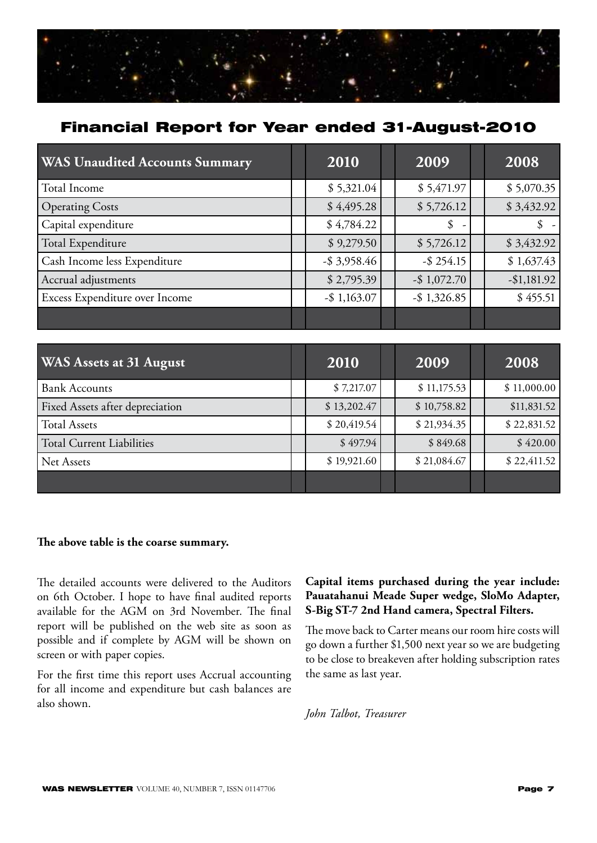

## Financial Report for Year ended 31-August-2010

| <b>WAS</b> Unaudited Accounts Summary | 2010            | 2009            | 2008           |
|---------------------------------------|-----------------|-----------------|----------------|
| Total Income                          | \$5,321.04      | \$5,471.97      | \$5,070.35     |
| <b>Operating Costs</b>                | \$4,495.28      | \$5,726.12      | \$3,432.92     |
| Capital expenditure                   | \$4,784.22      | \$              | $\mathbb{S}$ – |
| Total Expenditure                     | \$9,279.50      | \$5,726.12      | \$3,432.92     |
| Cash Income less Expenditure          | $-$ \$ 3,958.46 | $-$ \$ 254.15   | \$1,637.43     |
| Accrual adjustments                   | \$2,795.39      | $-$ \$ 1,072.70 | $-$1,181.92$   |
| Excess Expenditure over Income        | $-$ \$ 1,163.07 | $-$ \$ 1,326.85 | \$455.51       |
|                                       |                 |                 |                |

| <b>WAS Assets at 31 August</b>   | 2010        | 2009        | 2008        |
|----------------------------------|-------------|-------------|-------------|
| <b>Bank Accounts</b>             | \$7,217.07  | \$11,175.53 | \$11,000.00 |
| Fixed Assets after depreciation  | \$13,202.47 | \$10,758.82 | \$11,831.52 |
| <b>Total Assets</b>              | \$20,419.54 | \$21,934.35 | \$22,831.52 |
| <b>Total Current Liabilities</b> | \$497.94    | \$849.68    | \$420.00    |
| Net Assets                       | \$19,921.60 | \$21,084.67 | \$22,411.52 |
|                                  |             |             |             |

#### **The above table is the coarse summary.**

The detailed accounts were delivered to the Auditors on 6th October. I hope to have final audited reports available for the AGM on 3rd November. The final report will be published on the web site as soon as possible and if complete by AGM will be shown on screen or with paper copies.

For the first time this report uses Accrual accounting for all income and expenditure but cash balances are also shown.

#### **Capital items purchased during the year include: Pauatahanui Meade Super wedge, SloMo Adapter, S-Big ST-7 2nd Hand camera, Spectral Filters.**

The move back to Carter means our room hire costs will go down a further \$1,500 next year so we are budgeting to be close to breakeven after holding subscription rates the same as last year.

*John Talbot, Treasurer*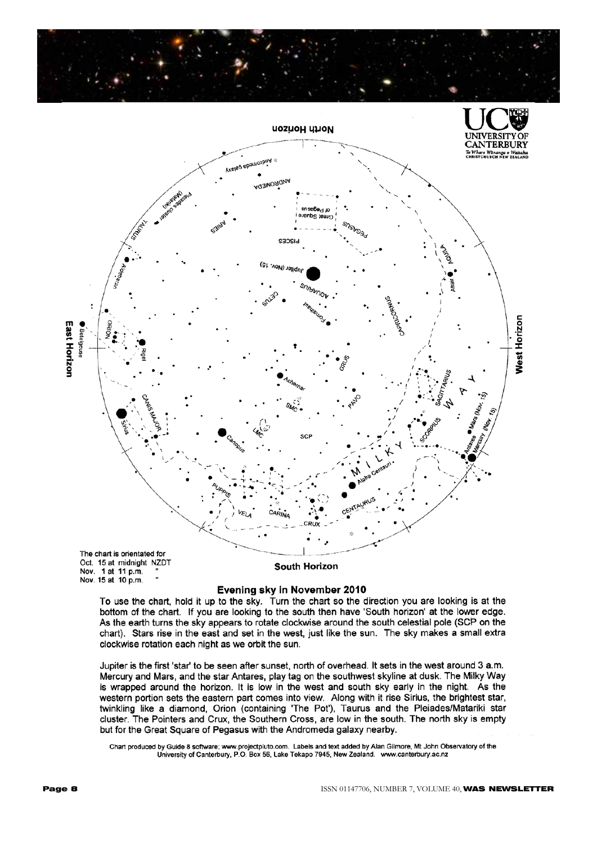



Evening sky in November 2010

To use the chart, hold it up to the sky. Turn the chart so the direction you are looking is at the bottom of the chart. If you are looking to the south then have 'South horizon' at the lower edge. As the earth turns the sky appears to rotate clockwise around the south celestial pole (SCP on the chart). Stars rise in the east and set in the west, just like the sun. The sky makes a small extra clockwise rotation each night as we orbit the sun.

Jupiter is the first 'star' to be seen after sunset, north of overhead. It sets in the west around 3 a.m. Mercury and Mars, and the star Antares, play tag on the southwest skyline at dusk. The Milky Way is wrapped around the horizon. It is low in the west and south sky early in the night. As the western portion sets the eastern part comes into view. Along with it rise Sirius, the brightest star, twinkling like a diamond, Orion (containing 'The Pot'), Taurus and the Pleiades/Matariki star<br>cluster. The Pointers and Crux, the Southern Cross, are low in the south. The north sky is empty but for the Great Square of Pegasus with the Andromeda galaxy nearby.

Chart produced by Guide 8 software; www.projectpluto.com. Labels and text added by Alan Gilmore, Mt John Observatory of the<br>University of Canterbury, P.O. Box 56, Lake Tekapo 7945, New Zealand. www.canterbury.ac.nz

Nov. 15 at 10 p.m.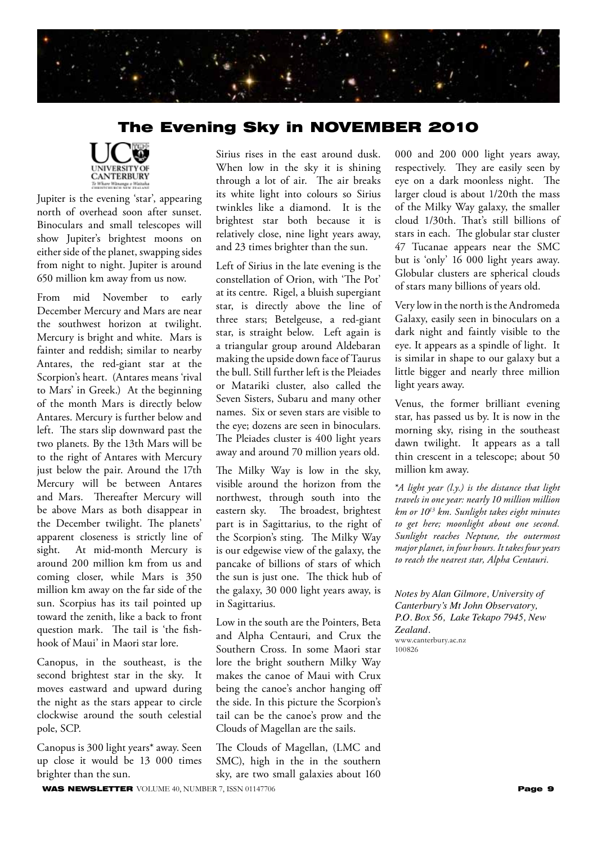

## The Evening Sky in NOVEMBER 2010



Jupiter is the evening 'star', appearing north of overhead soon after sunset. Binoculars and small telescopes will show Jupiter's brightest moons on either side of the planet, swapping sides from night to night. Jupiter is around 650 million km away from us now.

From mid November to early December Mercury and Mars are near the southwest horizon at twilight. Mercury is bright and white. Mars is fainter and reddish; similar to nearby Antares, the red-giant star at the Scorpion's heart. (Antares means 'rival to Mars' in Greek.) At the beginning of the month Mars is directly below Antares. Mercury is further below and left. The stars slip downward past the two planets. By the 13th Mars will be to the right of Antares with Mercury just below the pair. Around the 17th Mercury will be between Antares and Mars. Thereafter Mercury will be above Mars as both disappear in the December twilight. The planets' apparent closeness is strictly line of sight. At mid-month Mercury is around 200 million km from us and coming closer, while Mars is 350 million km away on the far side of the sun. Scorpius has its tail pointed up toward the zenith, like a back to front question mark. The tail is 'the fishhook of Maui' in Maori star lore.

Canopus, in the southeast, is the second brightest star in the sky. It moves eastward and upward during the night as the stars appear to circle clockwise around the south celestial pole, SCP.

Canopus is 300 light years\* away. Seen up close it would be 13 000 times brighter than the sun.

Sirius rises in the east around dusk. When low in the sky it is shining through a lot of air. The air breaks its white light into colours so Sirius twinkles like a diamond. It is the brightest star both because it is relatively close, nine light years away, and 23 times brighter than the sun.

Left of Sirius in the late evening is the constellation of Orion, with 'The Pot' at its centre. Rigel, a bluish supergiant star, is directly above the line of three stars; Betelgeuse, a red-giant star, is straight below. Left again is a triangular group around Aldebaran making the upside down face of Taurus the bull. Still further left is the Pleiades or Matariki cluster, also called the Seven Sisters, Subaru and many other names. Six or seven stars are visible to the eye; dozens are seen in binoculars. The Pleiades cluster is 400 light years away and around 70 million years old.

The Milky Way is low in the sky, visible around the horizon from the northwest, through south into the eastern sky. The broadest, brightest part is in Sagittarius, to the right of the Scorpion's sting. The Milky Way is our edgewise view of the galaxy, the pancake of billions of stars of which the sun is just one. The thick hub of the galaxy, 30 000 light years away, is in Sagittarius.

Low in the south are the Pointers, Beta and Alpha Centauri, and Crux the Southern Cross. In some Maori star lore the bright southern Milky Way makes the canoe of Maui with Crux being the canoe's anchor hanging off the side. In this picture the Scorpion's tail can be the canoe's prow and the Clouds of Magellan are the sails.

The Clouds of Magellan, (LMC and SMC), high in the in the southern sky, are two small galaxies about 160

000 and 200 000 light years away, respectively. They are easily seen by eye on a dark moonless night. The larger cloud is about 1/20th the mass of the Milky Way galaxy, the smaller cloud 1/30th. That's still billions of stars in each. The globular star cluster 47 Tucanae appears near the SMC but is 'only' 16 000 light years away. Globular clusters are spherical clouds of stars many billions of years old.

Very low in the north is the Andromeda Galaxy, easily seen in binoculars on a dark night and faintly visible to the eye. It appears as a spindle of light. It is similar in shape to our galaxy but a little bigger and nearly three million light years away.

Venus, the former brilliant evening star, has passed us by. It is now in the morning sky, rising in the southeast dawn twilight. It appears as a tall thin crescent in a telescope; about 50 million km away.

\**A light year (l.y.) is the distance that light travels in one year: nearly 10 million million km or 1013 km. Sunlight takes eight minutes to get here; moonlight about one second. Sunlight reaches Neptune, the outermost major planet, in four hours. It takes four years to reach the nearest star, Alpha Centauri.*

*Notes by Alan Gilmore, University of Canterbury's Mt John Observatory, P.O. Box 56, Lake Tekapo 7945, New Zealand.* www.canterbury.ac.nz 100826